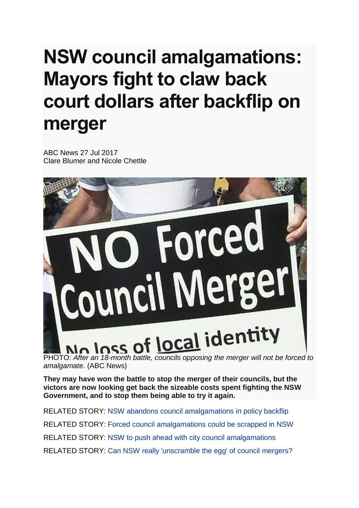## **NSW council amalgamations: Mayors fight to claw back court dollars after backflip on merger**

ABC News 27 Jul 2017 Clare Blumer and Nicole Chettle



*amalgamate*. [\(ABC News\)](http://www.abc.net.au/news/2017-07-27/protest-sign/8750306)

**They may have won the battle to stop the merger of their councils, but the victors are now looking get back the sizeable costs spent fighting the NSW Government, and to stop them being able to try it again.**

RELATED STORY: [NSW abandons council amalgamations in policy backflip](http://www.abc.net.au/news/2017-07-27/council-amalgamations-scrapped-in-nsw-after-government-backflip/8748164) RELATED STORY: [Forced council amalgamations could be scrapped in NSW](http://www.abc.net.au/news/2017-02-01/forced-council-amalgamations-could-be-scrapped-in-nsw/8233054) RELATED STORY: [NSW to push ahead with city council amalgamations](http://www.abc.net.au/news/2017-02-14/nsw-government-to-proceed-with-city-council-mergers-not-regional/8268340) RELATED STORY: [Can NSW really 'unscramble the egg' of council mergers?](http://www.abc.net.au/news/2017-02-02/nsw-council-amalgamations-facing-backflips-gets-mixed-reaction/8234130)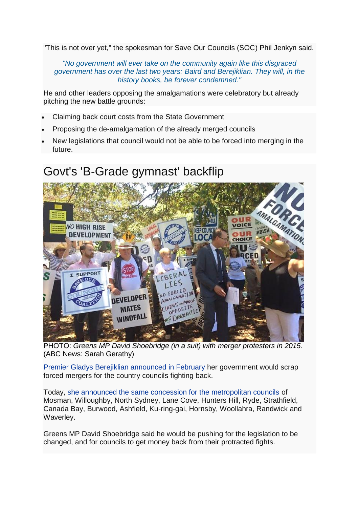"This is not over yet," the spokesman for Save Our Councils (SOC) Phil Jenkyn said.

*"No government will ever take on the community again like this disgraced government has over the last two years: Baird and Berejiklian. They will, in the history books, be forever condemned."*

He and other leaders opposing the amalgamations were celebratory but already pitching the new battle grounds:

- Claiming back court costs from the State Government
- Proposing the de-amalgamation of the already merged councils
- New legislations that council would not be able to be forced into merging in the future.

## Govt's 'B-Grade gymnast' backflip



PHOTO: *[Greens MP David Shoebridge \(in a suit\) with merger protesters in](http://www.abc.net.au/news/2017-07-27/opposition-to-council-amalgamations/8750348) 2015.* [\(ABC News: Sarah Gerathy\)](http://www.abc.net.au/news/2017-07-27/opposition-to-council-amalgamations/8750348)

[Premier Gladys Berejiklian announced in February](http://www.abc.net.au/news/2017-02-14/nsw-government-to-proceed-with-city-council-mergers-not-regional/8268340) her government would scrap forced mergers for the country councils fighting back.

Today, [she announced the same concession for the metropolitan councils](http://www.abc.net.au/news/2017-07-27/council-amalgamations-scrapped-in-nsw-after-government-backflip/8748164) of Mosman, Willoughby, North Sydney, Lane Cove, Hunters Hill, Ryde, Strathfield, Canada Bay, Burwood, Ashfield, Ku-ring-gai, Hornsby, Woollahra, Randwick and Waverley.

Greens MP David Shoebridge said he would be pushing for the legislation to be changed, and for councils to get money back from their protracted fights.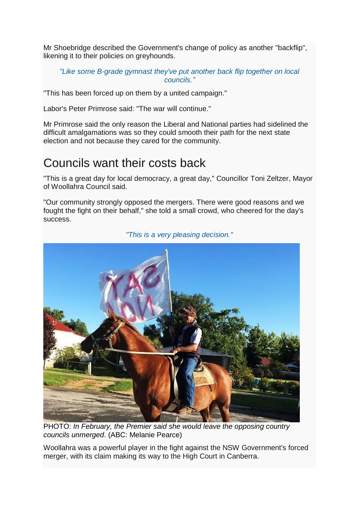Mr Shoebridge described the Government's change of policy as another "backflip", likening it to their policies on greyhounds.

*"Like some B-grade gymnast they've put another back flip together on local councils."*

"This has been forced up on them by a united campaign."

Labor's Peter Primrose said: "The war will continue."

Mr Primrose said the only reason the Liberal and National parties had sidelined the difficult amalgamations was so they could smooth their path for the next state election and not because they cared for the community.

## Councils want their costs back

"This is a great day for local democracy, a great day," Councillor Toni Zeltzer, Mayor of Woollahra Council said.

"Our community strongly opposed the mergers. There were good reasons and we fought the fight on their behalf," she told a small crowd, who cheered for the day's success.

*"This is a very pleasing decision."*



PHOTO: *[In February, the Premier said she would leave the opposing country](http://www.abc.net.au/news/2017-07-27/merger-protest-in-molong/8750356) councils unmerged*. [\(ABC: Melanie Pearce\)](http://www.abc.net.au/news/2017-07-27/merger-protest-in-molong/8750356)

Woollahra was a powerful player in the fight against the NSW Government's forced merger, with its claim making its way to the High Court in Canberra.